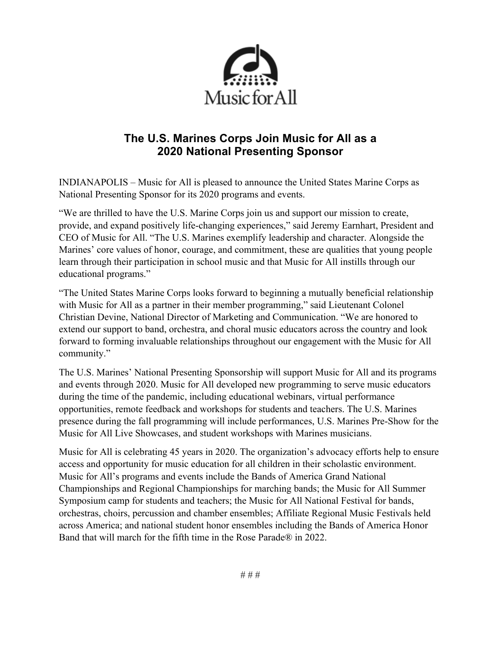

# **The U.S. Marines Corps Join Music for All as a 2020 National Presenting Sponsor**

INDIANAPOLIS – Music for All is pleased to announce the United States Marine Corps as National Presenting Sponsor for its 2020 programs and events.

"We are thrilled to have the U.S. Marine Corps join us and support our mission to create, provide, and expand positively life-changing experiences," said Jeremy Earnhart, President and CEO of Music for All. "The U.S. Marines exemplify leadership and character. Alongside the Marines' core values of honor, courage, and commitment, these are qualities that young people learn through their participation in school music and that Music for All instills through our educational programs."

"The United States Marine Corps looks forward to beginning a mutually beneficial relationship with Music for All as a partner in their member programming," said Lieutenant Colonel Christian Devine, National Director of Marketing and Communication. "We are honored to extend our support to band, orchestra, and choral music educators across the country and look forward to forming invaluable relationships throughout our engagement with the Music for All community."

The U.S. Marines' National Presenting Sponsorship will support Music for All and its programs and events through 2020. Music for All developed new programming to serve music educators during the time of the pandemic, including educational webinars, virtual performance opportunities, remote feedback and workshops for students and teachers. The U.S. Marines presence during the fall programming will include performances, U.S. Marines Pre-Show for the Music for All Live Showcases, and student workshops with Marines musicians.

Music for All is celebrating 45 years in 2020. The organization's advocacy efforts help to ensure access and opportunity for music education for all children in their scholastic environment. Music for All's programs and events include the Bands of America Grand National Championships and Regional Championships for marching bands; the Music for All Summer Symposium camp for students and teachers; the Music for All National Festival for bands, orchestras, choirs, percussion and chamber ensembles; Affiliate Regional Music Festivals held across America; and national student honor ensembles including the Bands of America Honor Band that will march for the fifth time in the Rose Parade® in 2022.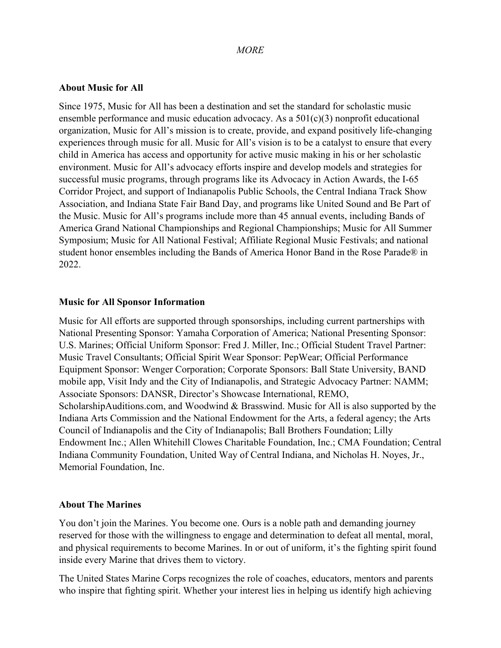## *MORE*

## **About Music for All**

Since 1975, Music for All has been a destination and set the standard for scholastic music ensemble performance and music education advocacy. As a 501(c)(3) nonprofit educational organization, Music for All's mission is to create, provide, and expand positively life-changing experiences through music for all. Music for All's vision is to be a catalyst to ensure that every child in America has access and opportunity for active music making in his or her scholastic environment. Music for All's advocacy efforts inspire and develop models and strategies for successful music programs, through programs like its Advocacy in Action Awards, the I-65 Corridor Project, and support of Indianapolis Public Schools, the Central Indiana Track Show Association, and Indiana State Fair Band Day, and programs like United Sound and Be Part of the Music. Music for All's programs include more than 45 annual events, including Bands of America Grand National Championships and Regional Championships; Music for All Summer Symposium; Music for All National Festival; Affiliate Regional Music Festivals; and national student honor ensembles including the Bands of America Honor Band in the Rose Parade® in 2022.

## **Music for All Sponsor Information**

Music for All efforts are supported through sponsorships, including current partnerships with National Presenting Sponsor: Yamaha Corporation of America; National Presenting Sponsor: U.S. Marines; Official Uniform Sponsor: Fred J. Miller, Inc.; Official Student Travel Partner: Music Travel Consultants; Official Spirit Wear Sponsor: PepWear; Official Performance Equipment Sponsor: Wenger Corporation; Corporate Sponsors: Ball State University, BAND mobile app, Visit Indy and the City of Indianapolis, and Strategic Advocacy Partner: NAMM; Associate Sponsors: DANSR, Director's Showcase International, REMO, ScholarshipAuditions.com, and Woodwind & Brasswind. Music for All is also supported by the Indiana Arts Commission and the National Endowment for the Arts, a federal agency; the Arts Council of Indianapolis and the City of Indianapolis; Ball Brothers Foundation; Lilly Endowment Inc.; Allen Whitehill Clowes Charitable Foundation, Inc.; CMA Foundation; Central Indiana Community Foundation, United Way of Central Indiana, and Nicholas H. Noyes, Jr., Memorial Foundation, Inc.

## **About The Marines**

You don't join the Marines. You become one. Ours is a noble path and demanding journey reserved for those with the willingness to engage and determination to defeat all mental, moral, and physical requirements to become Marines. In or out of uniform, it's the fighting spirit found inside every Marine that drives them to victory.

The United States Marine Corps recognizes the role of coaches, educators, mentors and parents who inspire that fighting spirit. Whether your interest lies in helping us identify high achieving